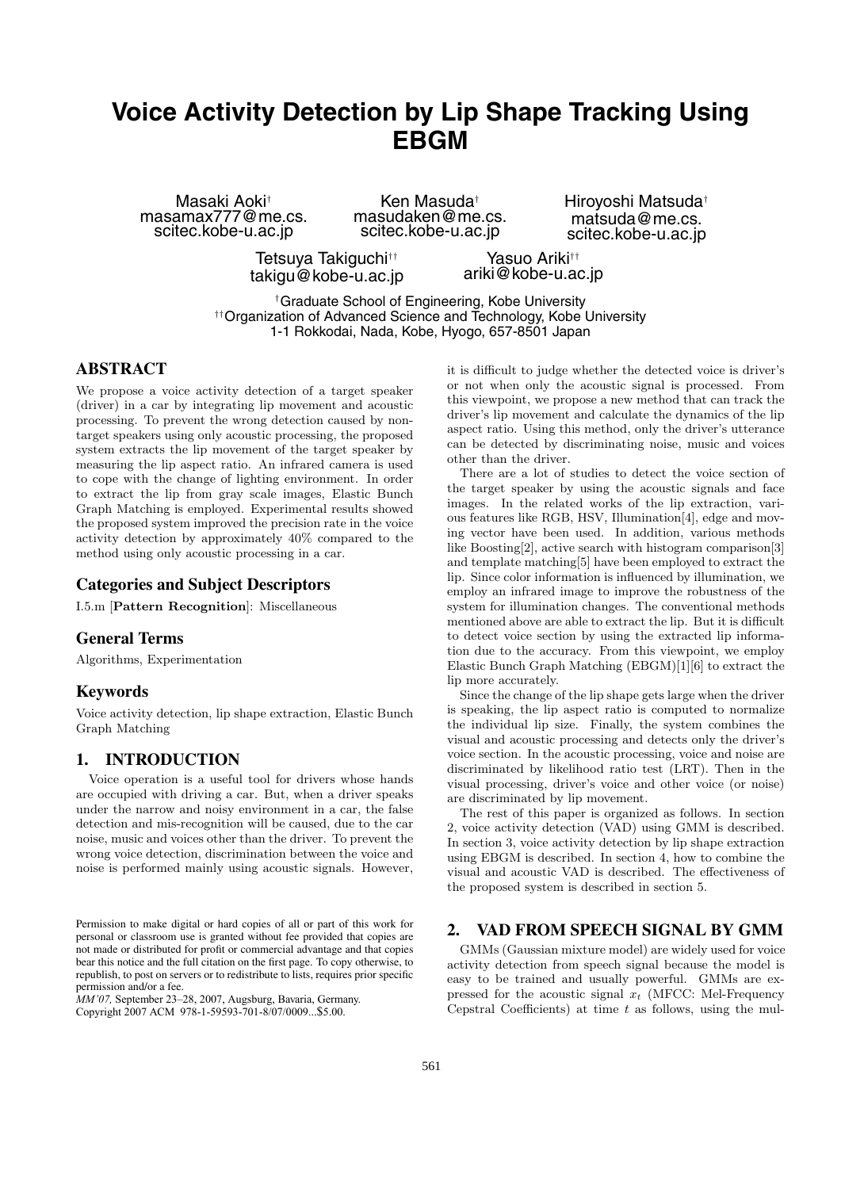# **Voice Activity Detection by Lip Shape Tracking Using EBGM**

Masaki Aoki† masamax777@me.cs. scitec.kobe-u.ac.jp

Ken Masuda† masudaken@me.cs. scitec.kobe-u.ac.jp

Hiroyoshi Matsuda† matsuda@me.cs. scitec.kobe-u.ac.jp

Tetsuya Takiguchi†† takigu@kobe-u.ac.jp

Yasuo Ariki†† ariki@kobe-u.ac.jp

†Graduate School of Engineering, Kobe University ††Organization of Advanced Science and Technology, Kobe University 1-1 Rokkodai, Nada, Kobe, Hyogo, 657-8501 Japan

# **ABSTRACT**

We propose a voice activity detection of a target speaker (driver) in a car by integrating lip movement and acoustic processing. To prevent the wrong detection caused by nontarget speakers using only acoustic processing, the proposed system extracts the lip movement of the target speaker by measuring the lip aspect ratio. An infrared camera is used to cope with the change of lighting environment. In order to extract the lip from gray scale images, Elastic Bunch Graph Matching is employed. Experimental results showed the proposed system improved the precision rate in the voice activity detection by approximately 40% compared to the method using only acoustic processing in a car.

# **Categories and Subject Descriptors**

I.5.m [**Pattern Recognition**]: Miscellaneous

# **General Terms**

Algorithms, Experimentation

### **Keywords**

Voice activity detection, lip shape extraction, Elastic Bunch Graph Matching

# **1. INTRODUCTION**

Voice operation is a useful tool for drivers whose hands are occupied with driving a car. But, when a driver speaks under the narrow and noisy environment in a car, the false detection and mis-recognition will be caused, due to the car noise, music and voices other than the driver. To prevent the wrong voice detection, discrimination between the voice and noise is performed mainly using acoustic signals. However,

*MM'07,* September 23–28, 2007, Augsburg, Bavaria, Germany.

Copyright 2007 ACM 978-1-59593-701-8/07/0009...\$5.00.

it is difficult to judge whether the detected voice is driver's or not when only the acoustic signal is processed. From this viewpoint, we propose a new method that can track the driver's lip movement and calculate the dynamics of the lip aspect ratio. Using this method, only the driver's utterance can be detected by discriminating noise, music and voices other than the driver.

There are a lot of studies to detect the voice section of the target speaker by using the acoustic signals and face images. In the related works of the lip extraction, various features like RGB, HSV, Illumination[4], edge and moving vector have been used. In addition, various methods like Boosting[2], active search with histogram comparison[3] and template matching[5] have been employed to extract the lip. Since color information is influenced by illumination, we employ an infrared image to improve the robustness of the system for illumination changes. The conventional methods mentioned above are able to extract the lip. But it is difficult to detect voice section by using the extracted lip information due to the accuracy. From this viewpoint, we employ Elastic Bunch Graph Matching (EBGM)[1][6] to extract the lip more accurately.

Since the change of the lip shape gets large when the driver is speaking, the lip aspect ratio is computed to normalize the individual lip size. Finally, the system combines the visual and acoustic processing and detects only the driver's voice section. In the acoustic processing, voice and noise are discriminated by likelihood ratio test (LRT). Then in the visual processing, driver's voice and other voice (or noise) are discriminated by lip movement.

The rest of this paper is organized as follows. In section 2, voice activity detection (VAD) using GMM is described. In section 3, voice activity detection by lip shape extraction using EBGM is described. In section 4, how to combine the visual and acoustic VAD is described. The effectiveness of the proposed system is described in section 5.

# **2. VAD FROM SPEECH SIGNAL BY GMM**

GMMs (Gaussian mixture model) are widely used for voice activity detection from speech signal because the model is easy to be trained and usually powerful. GMMs are expressed for the acoustic signal  $x_t$  (MFCC: Mel-Frequency Cepstral Coefficients) at time  $t$  as follows, using the mul-

Permission to make digital or hard copies of all or part of this work for personal or classroom use is granted without fee provided that copies are not made or distributed for profit or commercial advantage and that copies bear this notice and the full citation on the first page. To copy otherwise, to republish, to post on servers or to redistribute to lists, requires prior specific permission and/or a fee.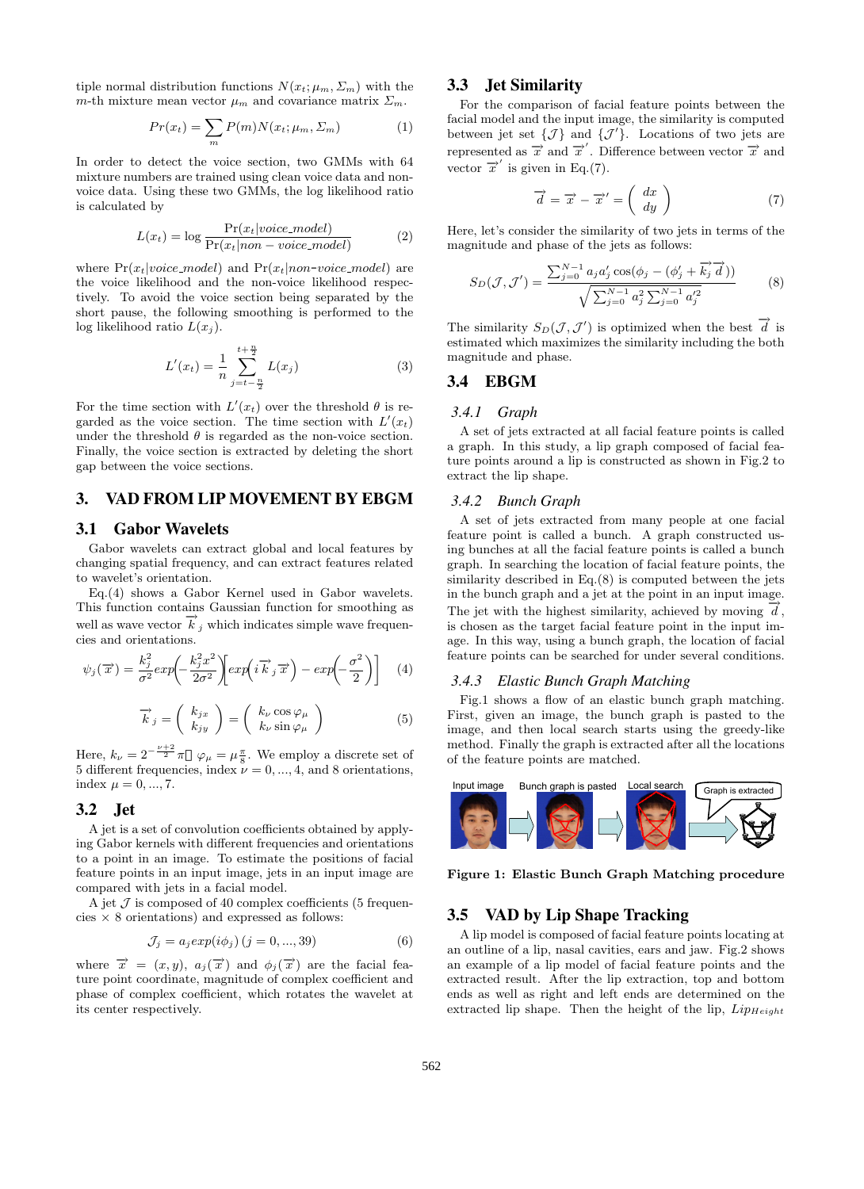tiple normal distribution functions  $N(x_t; \mu_m, \Sigma_m)$  with the m-th mixture mean vector  $\mu_m$  and covariance matrix  $\Sigma_m$ .

$$
Pr(x_t) = \sum_{m} P(m)N(x_t; \mu_m, \Sigma_m)
$$
 (1)

In order to detect the voice section, two GMMs with 64 mixture numbers are trained using clean voice data and nonvoice data. Using these two GMMs, the log likelihood ratio is calculated by

$$
L(x_t) = \log \frac{\Pr(x_t|voice_model)}{\Pr(x_t|non-voice_model)}
$$
 (2)

where  $Pr(x_t|voice_model)$  and  $Pr(x_t|non-voice_model)$  are the voice likelihood and the non-voice likelihood respectively. To avoid the voice section being separated by the short pause, the following smoothing is performed to the log likelihood ratio  $L(x_j)$ .

$$
L'(x_t) = \frac{1}{n} \sum_{j=t-\frac{n}{2}}^{t+\frac{n}{2}} L(x_j)
$$
 (3)

For the time section with  $L'(x_t)$  over the threshold  $\theta$  is regarded as the voice section. The time section with  $L'(x_t)$ under the threshold  $\theta$  is regarded as the non-voice section. Finally, the voice section is extracted by deleting the short gap between the voice sections.

### **3. VAD FROM LIP MOVEMENT BY EBGM**

### **3.1 Gabor Wavelets**

Gabor wavelets can extract global and local features by changing spatial frequency, and can extract features related to wavelet's orientation.

Eq.(4) shows a Gabor Kernel used in Gabor wavelets. This function contains Gaussian function for smoothing as well as wave vector  $\overrightarrow{k}_j$  which indicates simple wave frequencies and orientations.

$$
\psi_j(\overrightarrow{x}) = \frac{k_j^2}{\sigma^2} exp\left(-\frac{k_j^2 x^2}{2\sigma^2}\right) exp\left(i\overrightarrow{k}_j \overrightarrow{x}\right) - exp\left(-\frac{\sigma^2}{2}\right)\right]
$$
(4)

$$
\overrightarrow{k}_{j} = \left(\begin{array}{c} k_{jx} \\ k_{jy} \end{array}\right) = \left(\begin{array}{c} k_{\nu} \cos \varphi_{\mu} \\ k_{\nu} \sin \varphi_{\mu} \end{array}\right) \tag{5}
$$

Here,  $k_{\nu} = 2^{-\frac{\nu+2}{2}} \pi \varphi_{\mu} = \mu \frac{\pi}{8}$ . We employ a discrete set of 5 different frequencies, index  $\nu = 0, ..., 4$ , and 8 orientations, index  $\mu = 0, ..., 7$ .

### **3.2 Jet**

A jet is a set of convolution coefficients obtained by applying Gabor kernels with different frequencies and orientations to a point in an image. To estimate the positions of facial feature points in an input image, jets in an input image are compared with jets in a facial model.

A jet  $\mathcal J$  is composed of 40 complex coefficients (5 frequencies  $\times$  8 orientations) and expressed as follows:

$$
\mathcal{J}_j = a_j exp(i\phi_j) (j = 0, ..., 39)
$$
 (6)

where  $\vec{x} = (x, y), a_j(\vec{x})$  and  $\phi_j(\vec{x})$  are the facial feature point coordinate, magnitude of complex coefficient and phase of complex coefficient, which rotates the wavelet at its center respectively.

### **3.3 Jet Similarity**

For the comparison of facial feature points between the facial model and the input image, the similarity is computed between jet set  $\{\mathcal{J}\}\$ and  $\{\mathcal{J}'\}$ . Locations of two jets are represented as  $\vec{x}$  and  $\vec{x}'$ . Difference between vector  $\vec{x}$  and vector  $\overrightarrow{x}$  is given in Eq.(7).

$$
\overrightarrow{d} = \overrightarrow{x} - \overrightarrow{x}' = \left(\begin{array}{c} dx \\ dy \end{array}\right) \tag{7}
$$

Here, let's consider the similarity of two jets in terms of the magnitude and phase of the jets as follows:

$$
S_D(\mathcal{J}, \mathcal{J}') = \frac{\sum_{j=0}^{N-1} a_j a'_j \cos(\phi_j - (\phi'_j + \vec{k}_j \vec{d}))}{\sqrt{\sum_{j=0}^{N-1} a_j^2 \sum_{j=0}^{N-1} a'_j^2}}
$$
(8)

The similarity  $S_D(\mathcal{J}, \mathcal{J}')$  is optimized when the best  $\overrightarrow{d}$  is estimated which maximizes the similarity including the both magnitude and phase.

### **3.4 EBGM**

#### *3.4.1 Graph*

A set of jets extracted at all facial feature points is called a graph. In this study, a lip graph composed of facial feature points around a lip is constructed as shown in Fig.2 to extract the lip shape.

#### *3.4.2 Bunch Graph*

A set of jets extracted from many people at one facial feature point is called a bunch. A graph constructed using bunches at all the facial feature points is called a bunch graph. In searching the location of facial feature points, the similarity described in Eq.(8) is computed between the jets in the bunch graph and a jet at the point in an input image. The jet with the highest similarity, achieved by moving  $\vec{d}$ , is chosen as the target facial feature point in the input image. In this way, using a bunch graph, the location of facial feature points can be searched for under several conditions.

### *3.4.3 Elastic Bunch Graph Matching*

Fig.1 shows a flow of an elastic bunch graph matching. First, given an image, the bunch graph is pasted to the image, and then local search starts using the greedy-like method. Finally the graph is extracted after all the locations of the feature points are matched.



**Figure 1: Elastic Bunch Graph Matching procedure**

### **3.5 VAD by Lip Shape Tracking**

A lip model is composed of facial feature points locating at an outline of a lip, nasal cavities, ears and jaw. Fig.2 shows an example of a lip model of facial feature points and the extracted result. After the lip extraction, top and bottom ends as well as right and left ends are determined on the extracted lip shape. Then the height of the lip,  $Lip_{Height}$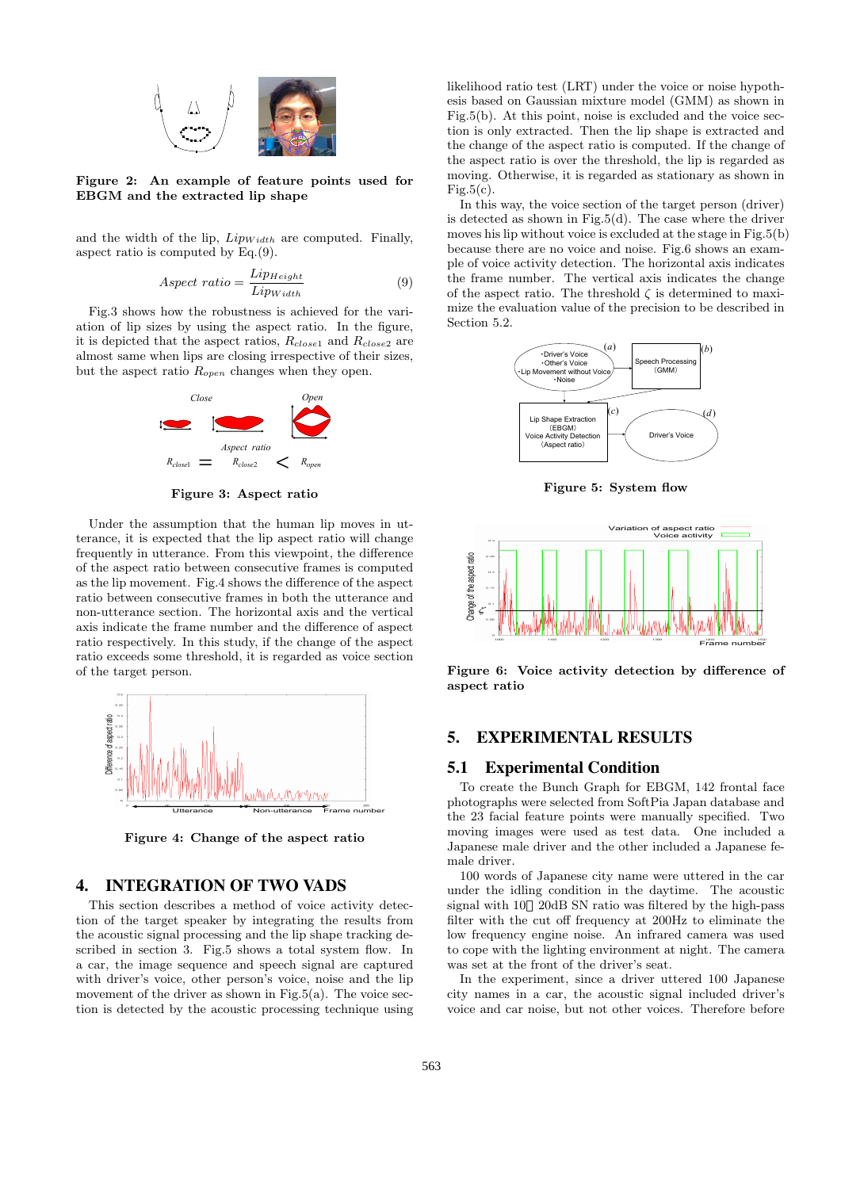

**Figure 2: An example of feature points used for EBGM and the extracted lip shape**

and the width of the lip,  $Lip_{Width}$  are computed. Finally, aspect ratio is computed by Eq.(9).

$$
Aspect\ ratio = \frac{Lip_{Height}}{Lip_{Width}}\tag{9}
$$

Fig.3 shows how the robustness is achieved for the variation of lip sizes by using the aspect ratio. In the figure, it is depicted that the aspect ratios,  $R_{close1}$  and  $R_{close2}$  are almost same when lips are closing irrespective of their sizes, but the aspect ratio  $R_{open}$  changes when they open.



**Figure 3: Aspect ratio**

Under the assumption that the human lip moves in utterance, it is expected that the lip aspect ratio will change frequently in utterance. From this viewpoint, the difference of the aspect ratio between consecutive frames is computed as the lip movement. Fig.4 shows the difference of the aspect ratio between consecutive frames in both the utterance and non-utterance section. The horizontal axis and the vertical axis indicate the frame number and the difference of aspect ratio respectively. In this study, if the change of the aspect ratio exceeds some threshold, it is regarded as voice section of the target person.



**Figure 4: Change of the aspect ratio**

# **4. INTEGRATION OF TWO VADS**

This section describes a method of voice activity detection of the target speaker by integrating the results from the acoustic signal processing and the lip shape tracking described in section 3. Fig.5 shows a total system flow. In a car, the image sequence and speech signal are captured with driver's voice, other person's voice, noise and the lip movement of the driver as shown in Fig.5(a). The voice section is detected by the acoustic processing technique using likelihood ratio test (LRT) under the voice or noise hypothesis based on Gaussian mixture model (GMM) as shown in Fig.5(b). At this point, noise is excluded and the voice section is only extracted. Then the lip shape is extracted and the change of the aspect ratio is computed. If the change of the aspect ratio is over the threshold, the lip is regarded as moving. Otherwise, it is regarded as stationary as shown in Fig.5 $(c)$ .

In this way, the voice section of the target person (driver) is detected as shown in Fig.5(d). The case where the driver moves his lip without voice is excluded at the stage in Fig.5(b) because there are no voice and noise. Fig.6 shows an example of voice activity detection. The horizontal axis indicates the frame number. The vertical axis indicates the change of the aspect ratio. The threshold  $\zeta$  is determined to maximize the evaluation value of the precision to be described in Section 5.2.



**Figure 5: System flow**



**Figure 6: Voice activity detection by difference of aspect ratio**

# **5. EXPERIMENTAL RESULTS**

### **5.1 Experimental Condition**

To create the Bunch Graph for EBGM, 142 frontal face photographs were selected from SoftPia Japan database and the 23 facial feature points were manually specified. Two moving images were used as test data. One included a Japanese male driver and the other included a Japanese female driver.

100 words of Japanese city name were uttered in the car under the idling condition in the daytime. The acoustic signal with 10 20dB SN ratio was filtered by the high-pass filter with the cut off frequency at 200Hz to eliminate the low frequency engine noise. An infrared camera was used to cope with the lighting environment at night. The camera was set at the front of the driver's seat.

In the experiment, since a driver uttered 100 Japanese city names in a car, the acoustic signal included driver's voice and car noise, but not other voices. Therefore before